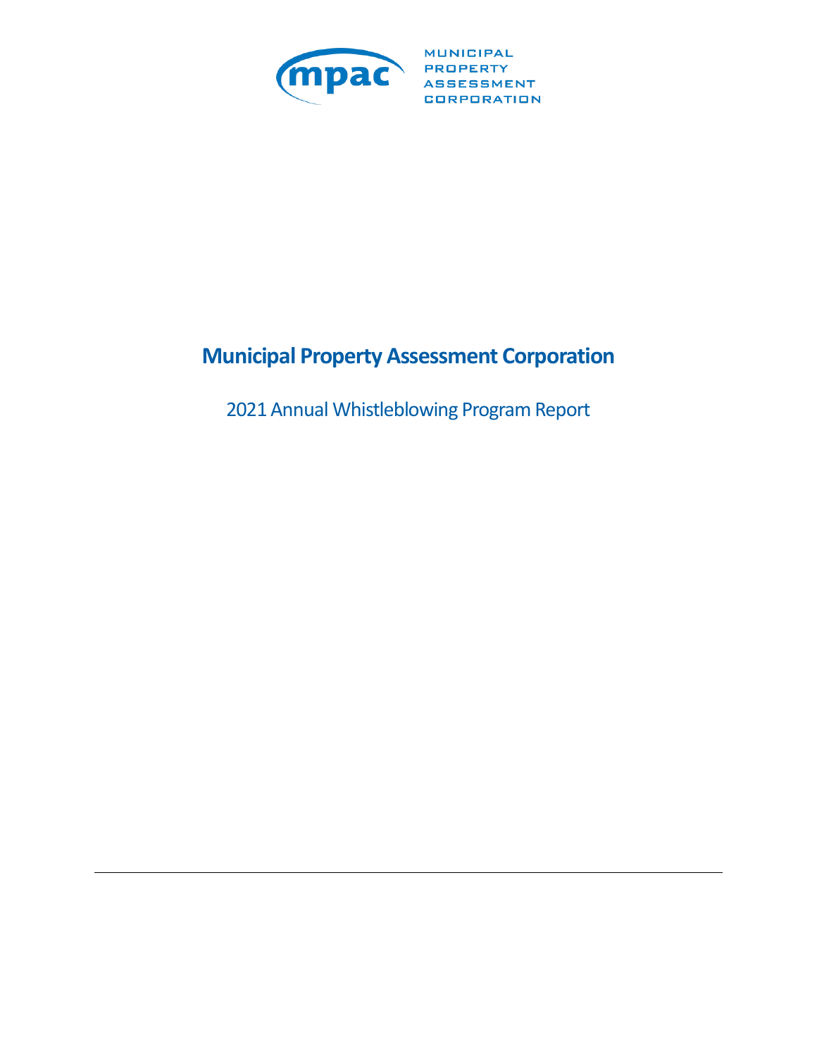

**MUNICIPAL** CORPORATION

# **Municipal Property Assessment Corporation**

2021 Annual Whistleblowing Program Report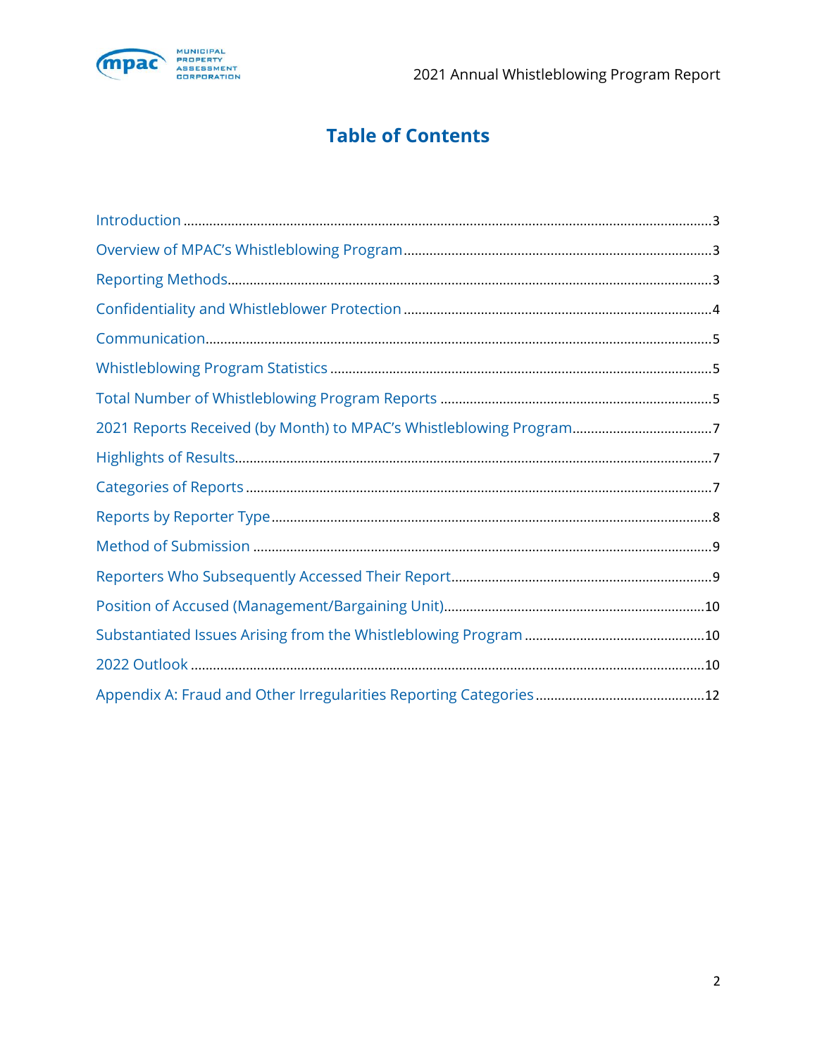

# **Table of Contents**

| 2021 Reports Received (by Month) to MPAC's Whistleblowing Program7 |
|--------------------------------------------------------------------|
|                                                                    |
|                                                                    |
|                                                                    |
|                                                                    |
|                                                                    |
|                                                                    |
|                                                                    |
|                                                                    |
|                                                                    |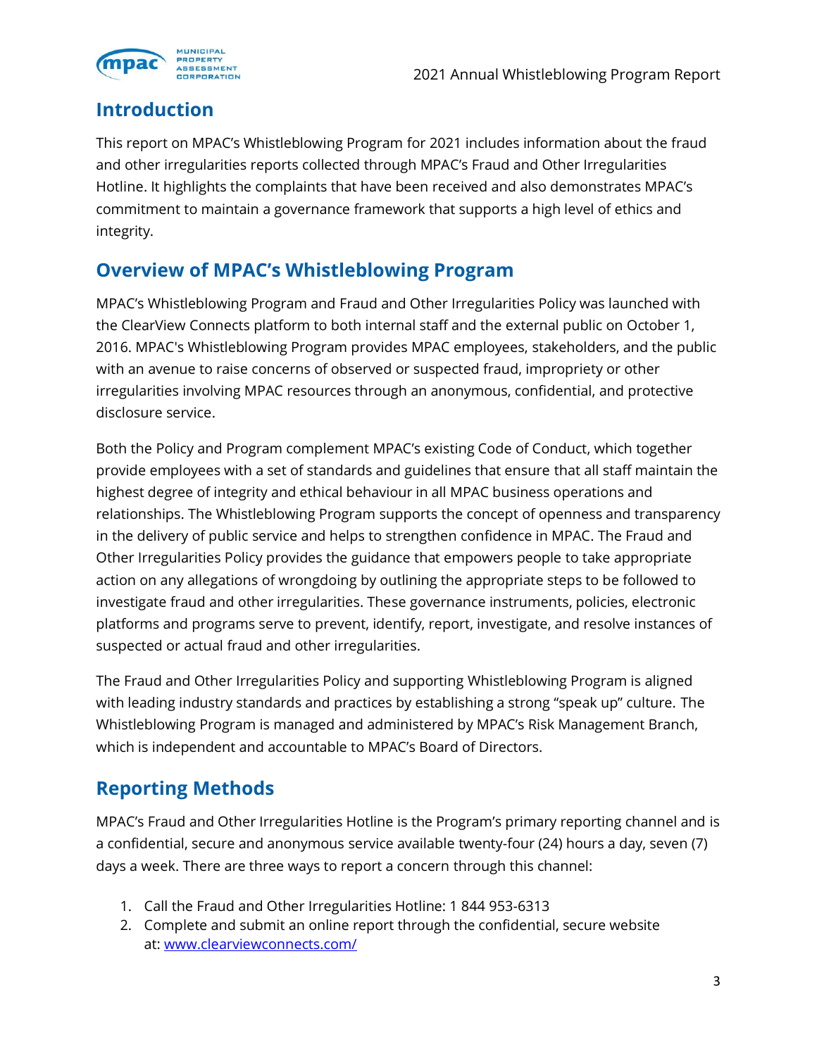

#### **Introduction**

This report on MPAC's Whistleblowing Program for 2021 includes information about the fraud and other irregularities reports collected through MPAC's Fraud and Other Irregularities Hotline. It highlights the complaints that have been received and also demonstrates MPAC's commitment to maintain a governance framework that supports a high level of ethics and integrity.

## **Overview of MPAC's Whistleblowing Program**

MPAC's Whistleblowing Program and Fraud and Other Irregularities Policy was launched with the ClearView Connects platform to both internal staff and the external public on October 1, 2016. MPAC's Whistleblowing Program provides MPAC employees, stakeholders, and the public with an avenue to raise concerns of observed or suspected fraud, impropriety or other irregularities involving MPAC resources through an anonymous, confidential, and protective disclosure service.

Both the Policy and Program complement MPAC's existing Code of Conduct, which together provide employees with a set of standards and guidelines that ensure that all staff maintain the highest degree of integrity and ethical behaviour in all MPAC business operations and relationships. The Whistleblowing Program supports the concept of openness and transparency in the delivery of public service and helps to strengthen confidence in MPAC. The Fraud and Other Irregularities Policy provides the guidance that empowers people to take appropriate action on any allegations of wrongdoing by outlining the appropriate steps to be followed to investigate fraud and other irregularities. These governance instruments, policies, electronic platforms and programs serve to prevent, identify, report, investigate, and resolve instances of suspected or actual fraud and other irregularities.

The Fraud and Other Irregularities Policy and supporting Whistleblowing Program is aligned with leading industry standards and practices by establishing a strong "speak up" culture. The Whistleblowing Program is managed and administered by MPAC's Risk Management Branch, which is independent and accountable to MPAC's Board of Directors.

## **Reporting Methods**

MPAC's Fraud and Other Irregularities Hotline is the Program's primary reporting channel and is a confidential, secure and anonymous service available twenty-four (24) hours a day, seven (7) days a week. There are three ways to report a concern through this channel:

- 1. Call the Fraud and Other Irregularities Hotline: 1 844 953-6313
- 2. Complete and submit an online report through the confidential, secure website at: [www.clearviewconnects.com/](file:///C:/Users/bryantsh/AppData/Local/Microsoft/Windows/INetCache/Content.Outlook/RNIDZ4K2/www.clearviewconnects.com/)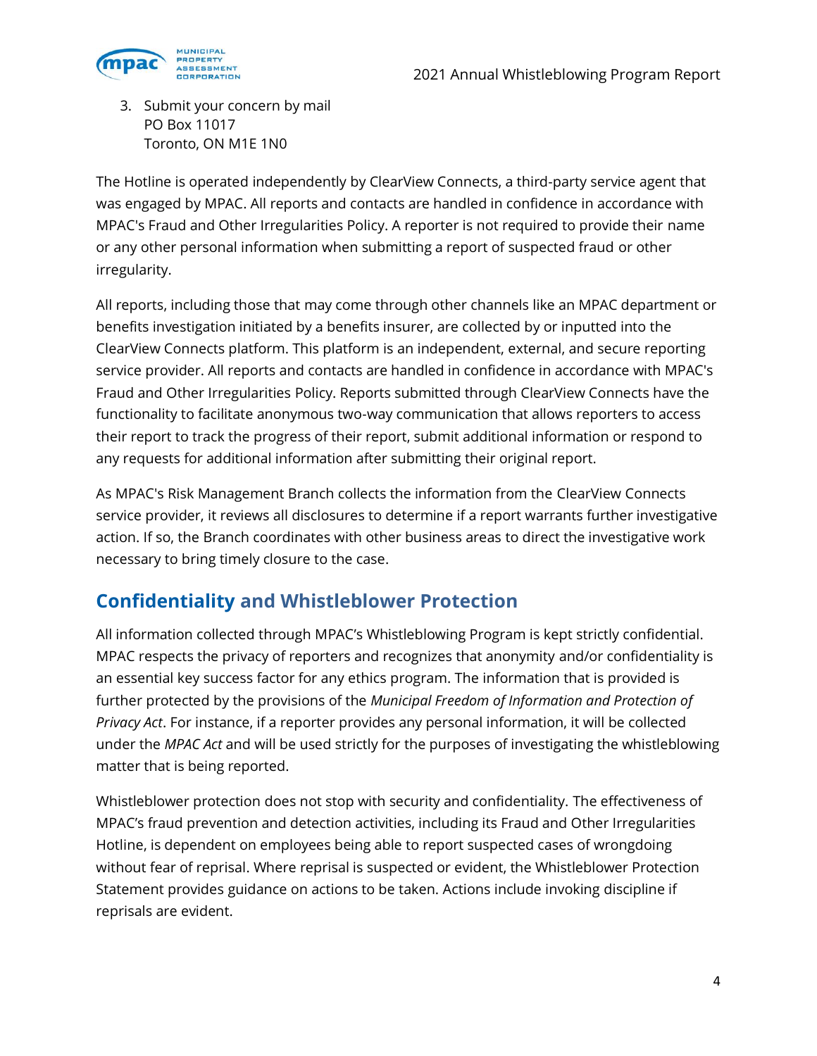

3. Submit your concern by mail PO Box 11017 Toronto, ON M1E 1N0

The Hotline is operated independently by ClearView Connects, a third-party service agent that was engaged by MPAC. All reports and contacts are handled in confidence in accordance with MPAC's Fraud and Other Irregularities Policy. A reporter is not required to provide their name or any other personal information when submitting a report of suspected fraud or other irregularity.

All reports, including those that may come through other channels like an MPAC department or benefits investigation initiated by a benefits insurer, are collected by or inputted into the ClearView Connects platform. This platform is an independent, external, and secure reporting service provider. All reports and contacts are handled in confidence in accordance with MPAC's Fraud and Other Irregularities Policy. Reports submitted through ClearView Connects have the functionality to facilitate anonymous two-way communication that allows reporters to access their report to track the progress of their report, submit additional information or respond to any requests for additional information after submitting their original report.

As MPAC's Risk Management Branch collects the information from the ClearView Connects service provider, it reviews all disclosures to determine if a report warrants further investigative action. If so, the Branch coordinates with other business areas to direct the investigative work necessary to bring timely closure to the case.

## **Confidentiality and Whistleblower Protection**

All information collected through MPAC's Whistleblowing Program is kept strictly confidential. MPAC respects the privacy of reporters and recognizes that anonymity and/or confidentiality is an essential key success factor for any ethics program. The information that is provided is further protected by the provisions of the *Municipal Freedom of Information and Protection of Privacy Act*. For instance, if a reporter provides any personal information, it will be collected under the *MPAC Act* and will be used strictly for the purposes of investigating the whistleblowing matter that is being reported.

Whistleblower protection does not stop with security and confidentiality. The effectiveness of MPAC's fraud prevention and detection activities, including its Fraud and Other Irregularities Hotline, is dependent on employees being able to report suspected cases of wrongdoing without fear of reprisal. Where reprisal is suspected or evident, the Whistleblower Protection Statement provides guidance on actions to be taken. Actions include invoking discipline if reprisals are evident.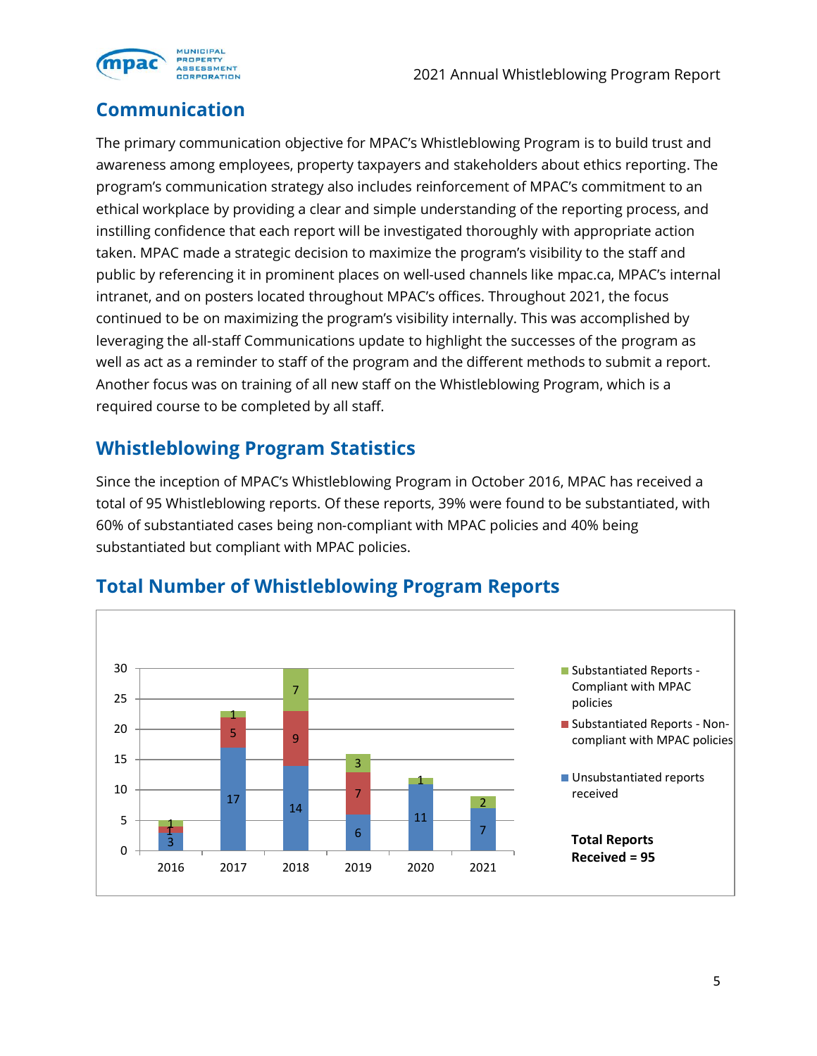

## **Communication**

The primary communication objective for MPAC's Whistleblowing Program is to build trust and awareness among employees, property taxpayers and stakeholders about ethics reporting. The program's communication strategy also includes reinforcement of MPAC's commitment to an ethical workplace by providing a clear and simple understanding of the reporting process, and instilling confidence that each report will be investigated thoroughly with appropriate action taken. MPAC made a strategic decision to maximize the program's visibility to the staff and public by referencing it in prominent places on well-used channels like mpac.ca, MPAC's internal intranet, and on posters located throughout MPAC's offices. Throughout 2021, the focus continued to be on maximizing the program's visibility internally. This was accomplished by leveraging the all-staff Communications update to highlight the successes of the program as well as act as a reminder to staff of the program and the different methods to submit a report. Another focus was on training of all new staff on the Whistleblowing Program, which is a required course to be completed by all staff.

## **Whistleblowing Program Statistics**

Since the inception of MPAC's Whistleblowing Program in October 2016, MPAC has received a total of 95 Whistleblowing reports. Of these reports, 39% were found to be substantiated, with 60% of substantiated cases being non-compliant with MPAC policies and 40% being substantiated but compliant with MPAC policies.



## **Total Number of Whistleblowing Program Reports**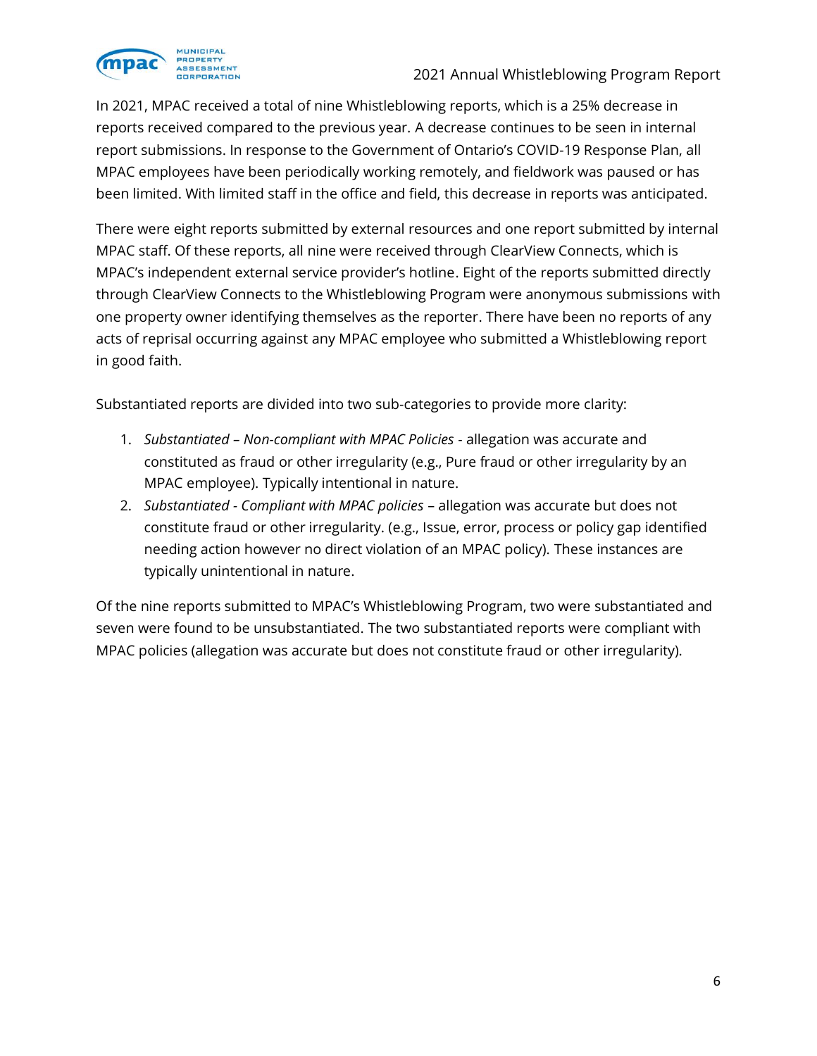

In 2021, MPAC received a total of nine Whistleblowing reports, which is a 25% decrease in reports received compared to the previous year. A decrease continues to be seen in internal report submissions. In response to the Government of Ontario's COVID-19 Response Plan, all MPAC employees have been periodically working remotely, and fieldwork was paused or has been limited. With limited staff in the office and field, this decrease in reports was anticipated.

There were eight reports submitted by external resources and one report submitted by internal MPAC staff. Of these reports, all nine were received through ClearView Connects, which is MPAC's independent external service provider's hotline. Eight of the reports submitted directly through ClearView Connects to the Whistleblowing Program were anonymous submissions with one property owner identifying themselves as the reporter. There have been no reports of any acts of reprisal occurring against any MPAC employee who submitted a Whistleblowing report in good faith.

Substantiated reports are divided into two sub-categories to provide more clarity:

- 1. *Substantiated – Non-compliant with MPAC Policies* allegation was accurate and constituted as fraud or other irregularity (e.g., Pure fraud or other irregularity by an MPAC employee). Typically intentional in nature.
- 2. *Substantiated - Compliant with MPAC policies* allegation was accurate but does not constitute fraud or other irregularity. (e.g., Issue, error, process or policy gap identified needing action however no direct violation of an MPAC policy). These instances are typically unintentional in nature.

Of the nine reports submitted to MPAC's Whistleblowing Program, two were substantiated and seven were found to be unsubstantiated. The two substantiated reports were compliant with MPAC policies (allegation was accurate but does not constitute fraud or other irregularity).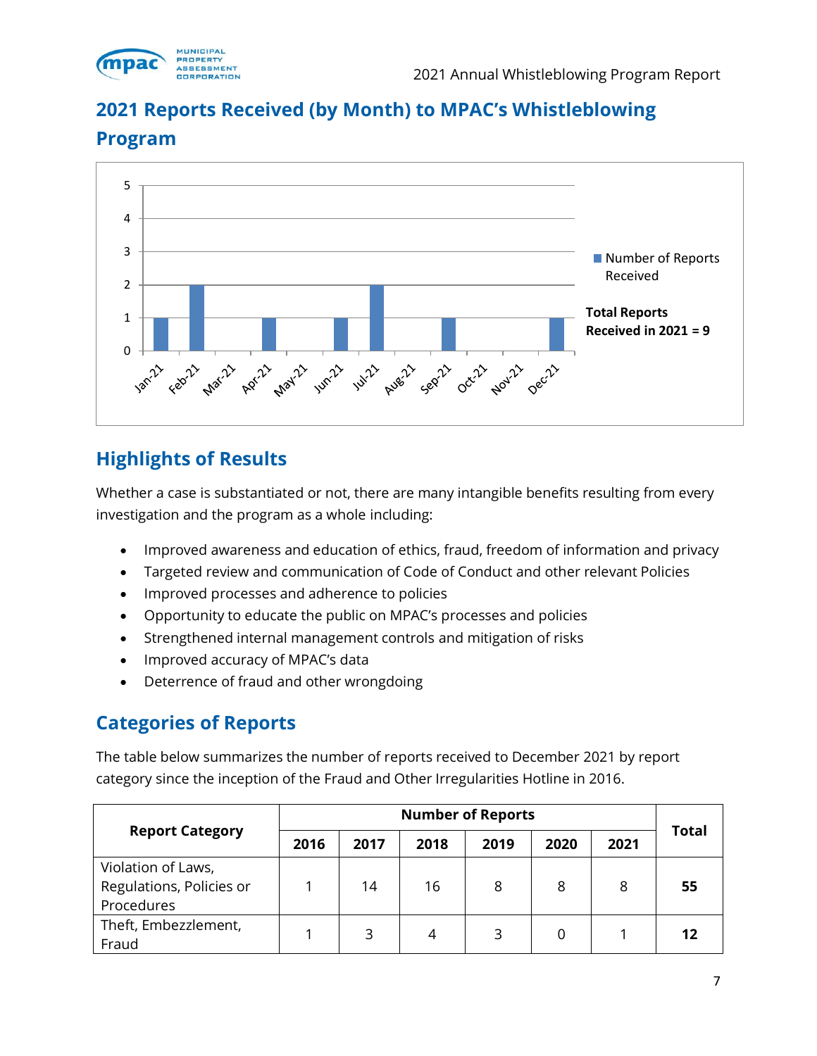

## **2021 Reports Received (by Month) to MPAC's Whistleblowing**



#### **Program**

## **Highlights of Results**

Whether a case is substantiated or not, there are many intangible benefits resulting from every investigation and the program as a whole including:

- Improved awareness and education of ethics, fraud, freedom of information and privacy
- Targeted review and communication of Code of Conduct and other relevant Policies
- Improved processes and adherence to policies
- Opportunity to educate the public on MPAC's processes and policies
- Strengthened internal management controls and mitigation of risks
- Improved accuracy of MPAC's data
- Deterrence of fraud and other wrongdoing

#### **Categories of Reports**

The table below summarizes the number of reports received to December 2021 by report category since the inception of the Fraud and Other Irregularities Hotline in 2016.

|                                                              | <b>Number of Reports</b> |      |      |      |      |      |              |
|--------------------------------------------------------------|--------------------------|------|------|------|------|------|--------------|
| <b>Report Category</b>                                       | 2016                     | 2017 | 2018 | 2019 | 2020 | 2021 | <b>Total</b> |
| Violation of Laws,<br>Regulations, Policies or<br>Procedures |                          | 14   | 16   | 8    | 8    | 8    | 55           |
| Theft, Embezzlement,<br>Fraud                                |                          | 3    | 4    | 3    |      |      | 12           |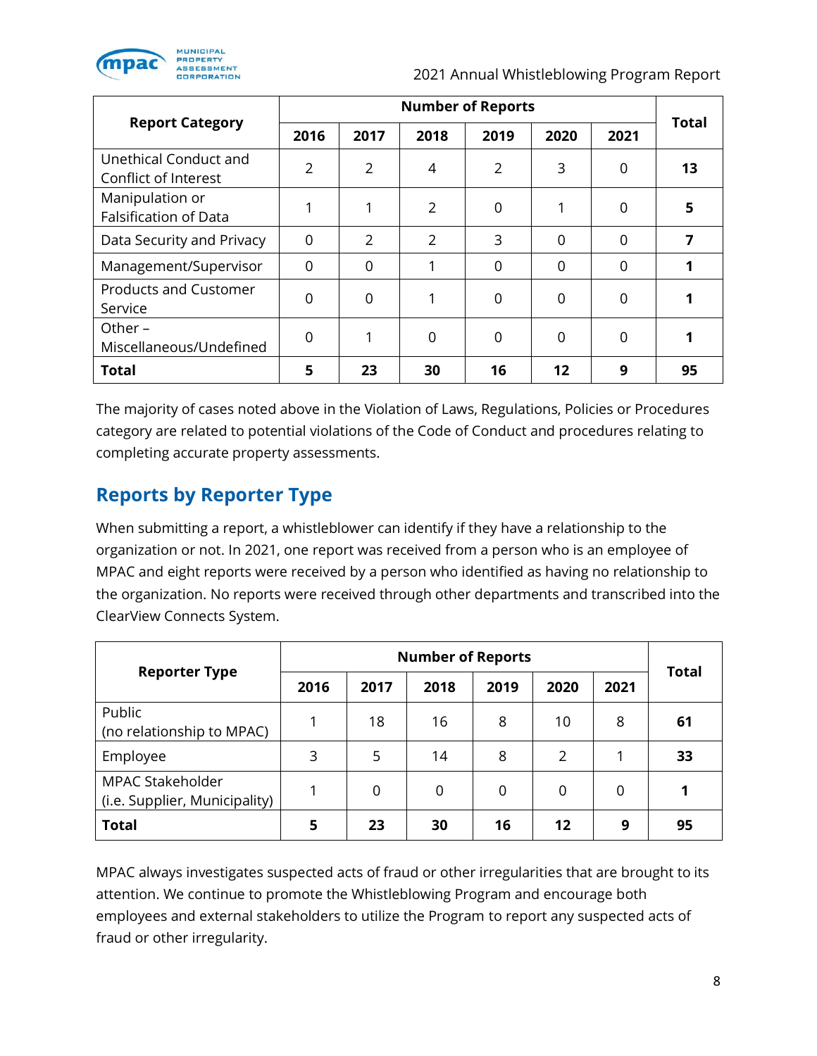

2021 Annual Whistleblowing Program Report

|                                                 | <b>Number of Reports</b> |                |                |          |                |          |              |
|-------------------------------------------------|--------------------------|----------------|----------------|----------|----------------|----------|--------------|
| <b>Report Category</b>                          | 2016                     | 2017           | 2018           | 2019     | 2020           | 2021     | <b>Total</b> |
| Unethical Conduct and<br>Conflict of Interest   | $\overline{2}$           | $\overline{2}$ | 4              | 2        | 3              | $\Omega$ | 13           |
| Manipulation or<br><b>Falsification of Data</b> |                          | 1              | $\overline{2}$ | 0        | 1              | $\Omega$ | 5            |
| Data Security and Privacy                       | $\Omega$                 | $\overline{2}$ | $\overline{2}$ | 3        | $\Omega$       | $\Omega$ |              |
| Management/Supervisor                           | $\Omega$                 | $\Omega$       | 1              | $\Omega$ | $\Omega$       | $\Omega$ |              |
| <b>Products and Customer</b><br>Service         | 0                        | $\Omega$       | 1              | $\Omega$ | $\overline{0}$ | $\Omega$ |              |
| Other $-$<br>Miscellaneous/Undefined            | $\Omega$                 | 1              | 0              | 0        | 0              | $\Omega$ |              |
| <b>Total</b>                                    | 5                        | 23             | 30             | 16       | 12             | 9        | 95           |

The majority of cases noted above in the Violation of Laws, Regulations, Policies or Procedures category are related to potential violations of the Code of Conduct and procedures relating to completing accurate property assessments.

## **Reports by Reporter Type**

When submitting a report, a whistleblower can identify if they have a relationship to the organization or not. In 2021, one report was received from a person who is an employee of MPAC and eight reports were received by a person who identified as having no relationship to the organization. No reports were received through other departments and transcribed into the ClearView Connects System.

|                                                          |      | <b>Total</b> |      |      |      |      |    |
|----------------------------------------------------------|------|--------------|------|------|------|------|----|
| <b>Reporter Type</b>                                     | 2016 | 2017         | 2018 | 2019 | 2020 | 2021 |    |
| Public<br>(no relationship to MPAC)                      | 1    | 18           | 16   | 8    | 10   | 8    | 61 |
| Employee                                                 | 3    | 5            | 14   | 8    | 2    |      | 33 |
| <b>MPAC Stakeholder</b><br>(i.e. Supplier, Municipality) |      | 0            | 0    | 0    | 0    | 0    | 1  |
| <b>Total</b>                                             | 5    | 23           | 30   | 16   | 12   | 9    | 95 |

MPAC always investigates suspected acts of fraud or other irregularities that are brought to its attention. We continue to promote the Whistleblowing Program and encourage both employees and external stakeholders to utilize the Program to report any suspected acts of fraud or other irregularity.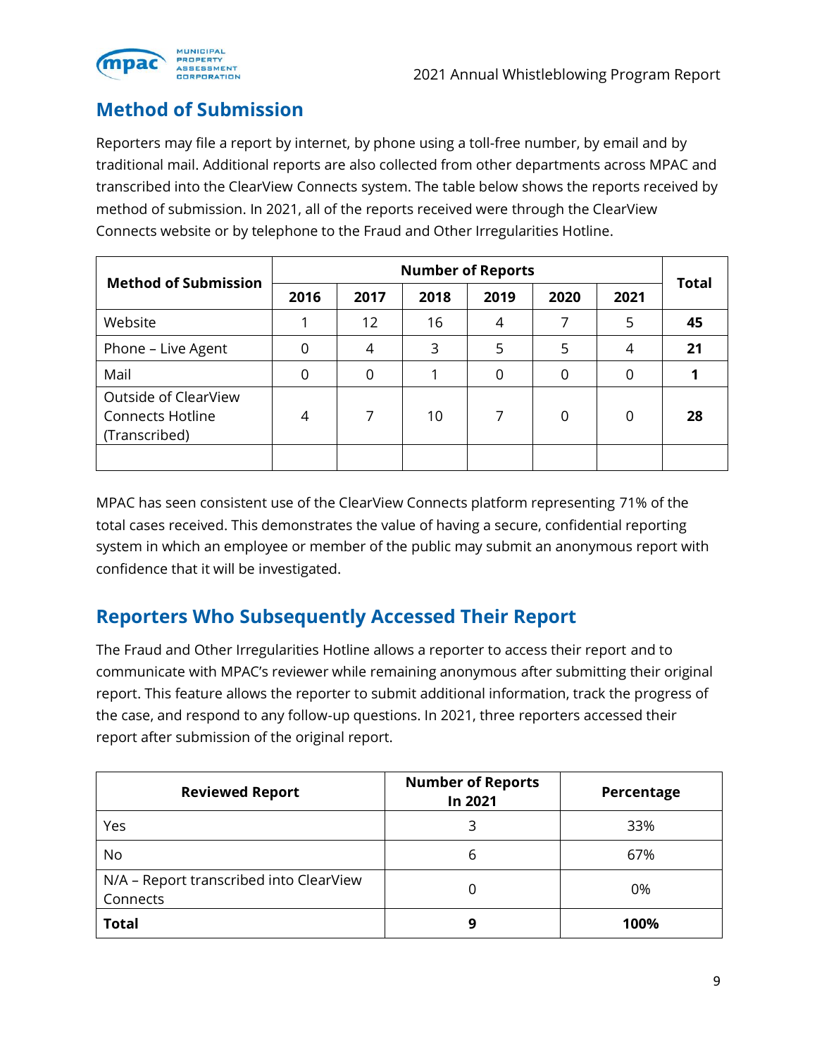

## **Method of Submission**

Reporters may file a report by internet, by phone using a toll-free number, by email and by traditional mail. Additional reports are also collected from other departments across MPAC and transcribed into the ClearView Connects system. The table below shows the reports received by method of submission. In 2021, all of the reports received were through the ClearView Connects website or by telephone to the Fraud and Other Irregularities Hotline.

| <b>Method of Submission</b>                                      | <b>Number of Reports</b> |             |      |          |                |      |              |
|------------------------------------------------------------------|--------------------------|-------------|------|----------|----------------|------|--------------|
|                                                                  | 2016                     | 2017        | 2018 | 2019     | 2020           | 2021 | <b>Total</b> |
| Website                                                          |                          | 12          | 16   | 4        | 7              | 5    | 45           |
| Phone - Live Agent                                               | $\mathbf 0$              | 4           | 3    | 5        | 5              | 4    | 21           |
| Mail                                                             | 0                        | $\mathbf 0$ |      | $\Omega$ | $\overline{0}$ | 0    |              |
| Outside of ClearView<br><b>Connects Hotline</b><br>(Transcribed) | 4                        | 7           | 10   | 7        | 0              | 0    | 28           |
|                                                                  |                          |             |      |          |                |      |              |

MPAC has seen consistent use of the ClearView Connects platform representing 71% of the total cases received. This demonstrates the value of having a secure, confidential reporting system in which an employee or member of the public may submit an anonymous report with confidence that it will be investigated.

#### **Reporters Who Subsequently Accessed Their Report**

The Fraud and Other Irregularities Hotline allows a reporter to access their report and to communicate with MPAC's reviewer while remaining anonymous after submitting their original report. This feature allows the reporter to submit additional information, track the progress of the case, and respond to any follow-up questions. In 2021, three reporters accessed their report after submission of the original report.

| <b>Reviewed Report</b>                              | <b>Number of Reports</b><br>In 2021 | Percentage |
|-----------------------------------------------------|-------------------------------------|------------|
| Yes                                                 | 3                                   | 33%        |
| <b>No</b>                                           | 6                                   | 67%        |
| N/A - Report transcribed into ClearView<br>Connects |                                     | 0%         |
| <b>Total</b>                                        | 9                                   | 100%       |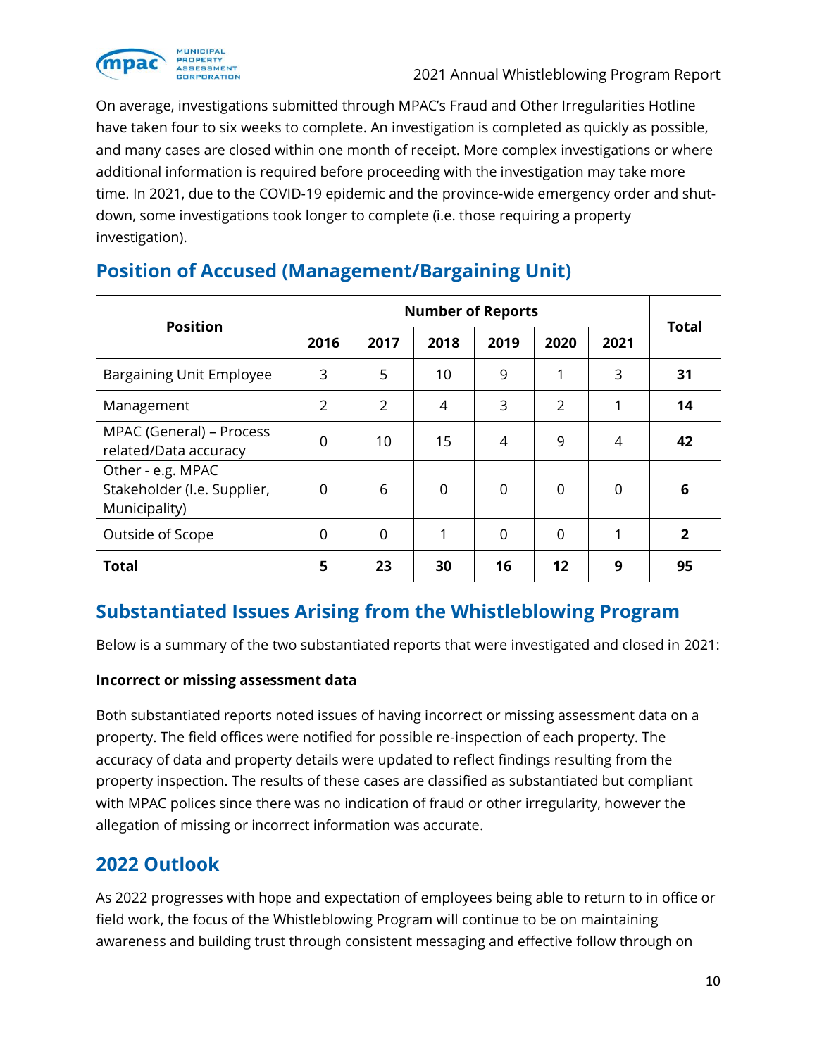

On average, investigations submitted through MPAC's Fraud and Other Irregularities Hotline have taken four to six weeks to complete. An investigation is completed as quickly as possible, and many cases are closed within one month of receipt. More complex investigations or where additional information is required before proceeding with the investigation may take more time. In 2021, due to the COVID-19 epidemic and the province-wide emergency order and shutdown, some investigations took longer to complete (i.e. those requiring a property investigation).

| <b>Position</b>                                                   |                | <b>Total</b>   |                |                |                |                |              |
|-------------------------------------------------------------------|----------------|----------------|----------------|----------------|----------------|----------------|--------------|
|                                                                   | 2016           | 2017           | 2018           | 2019           | 2020           | 2021           |              |
| Bargaining Unit Employee                                          | 3              | 5              | 10             | 9              | 1              | 3              | 31           |
| Management                                                        | 2              | $\overline{2}$ | 4              | 3              | $\overline{2}$ | 1              | 14           |
| MPAC (General) – Process<br>related/Data accuracy                 | $\overline{0}$ | 10             | 15             | 4              | 9              | 4              | 42           |
| Other - e.g. MPAC<br>Stakeholder (I.e. Supplier,<br>Municipality) | 0              | 6              | $\overline{0}$ | $\overline{0}$ | $\overline{0}$ | $\overline{0}$ | 6            |
| Outside of Scope                                                  | 0              | 0              | 1              | $\overline{0}$ | $\mathbf 0$    | 1              | $\mathbf{2}$ |
| <b>Total</b>                                                      | 5              | 23             | 30             | 16             | 12             | 9              | 95           |

## **Position of Accused (Management/Bargaining Unit)**

## **Substantiated Issues Arising from the Whistleblowing Program**

Below is a summary of the two substantiated reports that were investigated and closed in 2021:

#### **Incorrect or missing assessment data**

Both substantiated reports noted issues of having incorrect or missing assessment data on a property. The field offices were notified for possible re-inspection of each property. The accuracy of data and property details were updated to reflect findings resulting from the property inspection. The results of these cases are classified as substantiated but compliant with MPAC polices since there was no indication of fraud or other irregularity, however the allegation of missing or incorrect information was accurate.

#### **2022 Outlook**

As 2022 progresses with hope and expectation of employees being able to return to in office or field work, the focus of the Whistleblowing Program will continue to be on maintaining awareness and building trust through consistent messaging and effective follow through on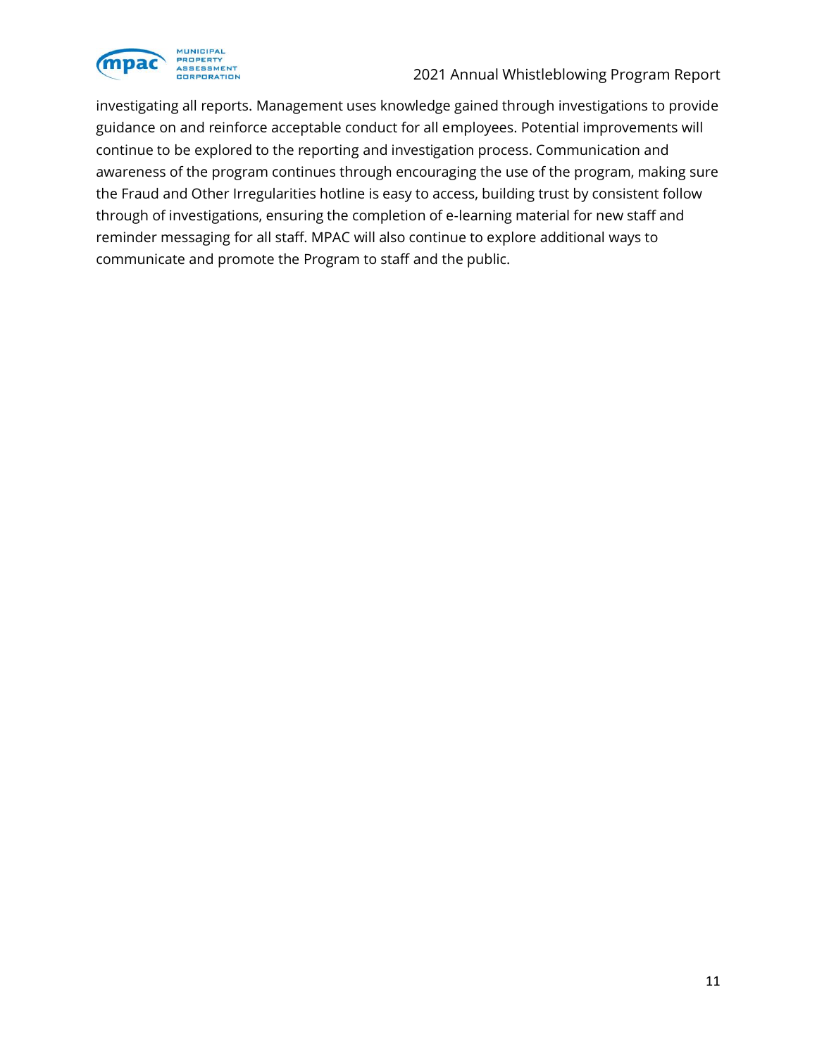

investigating all reports. Management uses knowledge gained through investigations to provide guidance on and reinforce acceptable conduct for all employees. Potential improvements will continue to be explored to the reporting and investigation process. Communication and awareness of the program continues through encouraging the use of the program, making sure the Fraud and Other Irregularities hotline is easy to access, building trust by consistent follow through of investigations, ensuring the completion of e-learning material for new staff and reminder messaging for all staff. MPAC will also continue to explore additional ways to communicate and promote the Program to staff and the public.